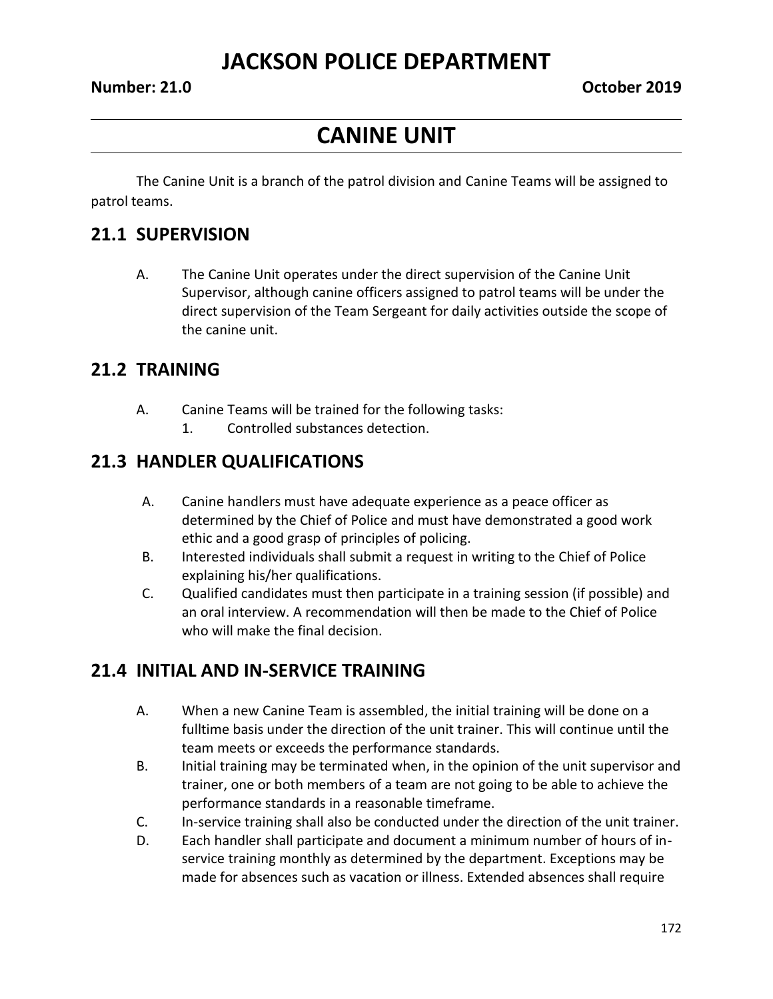## **CANINE UNIT**

The Canine Unit is a branch of the patrol division and Canine Teams will be assigned to patrol teams.

#### **21.1 SUPERVISION**

A. The Canine Unit operates under the direct supervision of the Canine Unit Supervisor, although canine officers assigned to patrol teams will be under the direct supervision of the Team Sergeant for daily activities outside the scope of the canine unit.

#### **21.2 TRAINING**

- A. Canine Teams will be trained for the following tasks:
	- 1. Controlled substances detection.

#### **21.3 HANDLER QUALIFICATIONS**

- A. Canine handlers must have adequate experience as a peace officer as determined by the Chief of Police and must have demonstrated a good work ethic and a good grasp of principles of policing.
- B. Interested individuals shall submit a request in writing to the Chief of Police explaining his/her qualifications.
- C. Qualified candidates must then participate in a training session (if possible) and an oral interview. A recommendation will then be made to the Chief of Police who will make the final decision.

### **21.4 INITIAL AND IN-SERVICE TRAINING**

- A. When a new Canine Team is assembled, the initial training will be done on a fulltime basis under the direction of the unit trainer. This will continue until the team meets or exceeds the performance standards.
- B. Initial training may be terminated when, in the opinion of the unit supervisor and trainer, one or both members of a team are not going to be able to achieve the performance standards in a reasonable timeframe.
- C. In-service training shall also be conducted under the direction of the unit trainer.
- D. Each handler shall participate and document a minimum number of hours of inservice training monthly as determined by the department. Exceptions may be made for absences such as vacation or illness. Extended absences shall require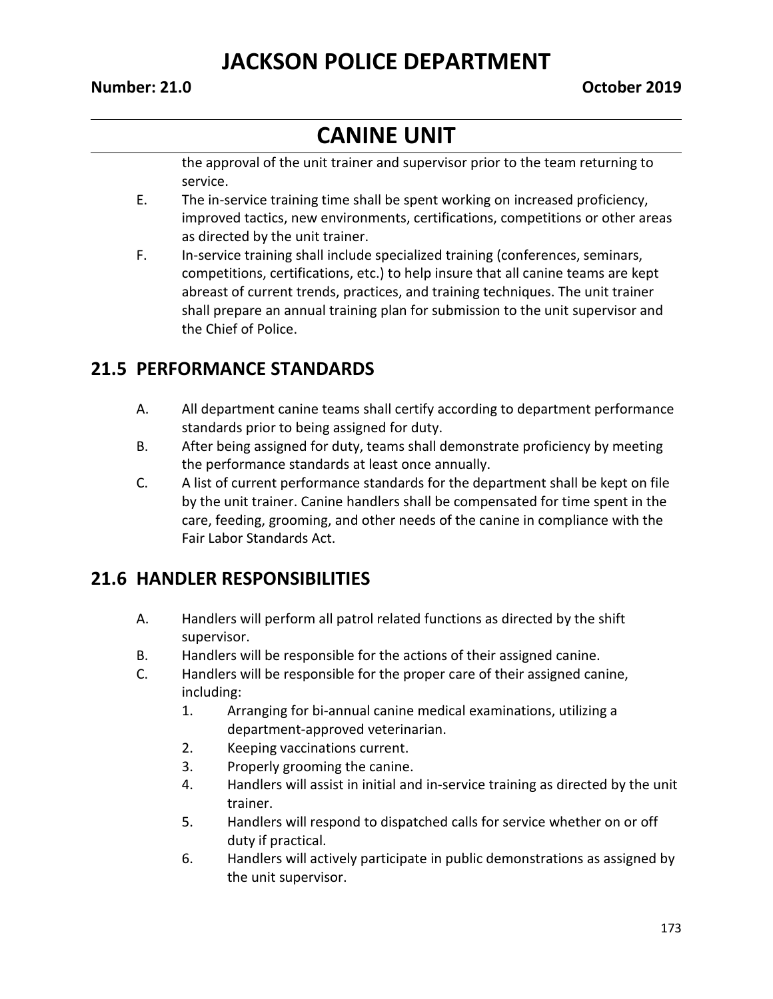# **CANINE UNIT**

the approval of the unit trainer and supervisor prior to the team returning to service.

- E. The in-service training time shall be spent working on increased proficiency, improved tactics, new environments, certifications, competitions or other areas as directed by the unit trainer.
- F. In-service training shall include specialized training (conferences, seminars, competitions, certifications, etc.) to help insure that all canine teams are kept abreast of current trends, practices, and training techniques. The unit trainer shall prepare an annual training plan for submission to the unit supervisor and the Chief of Police.

### **21.5 PERFORMANCE STANDARDS**

- A. All department canine teams shall certify according to department performance standards prior to being assigned for duty.
- B. After being assigned for duty, teams shall demonstrate proficiency by meeting the performance standards at least once annually.
- C. A list of current performance standards for the department shall be kept on file by the unit trainer. Canine handlers shall be compensated for time spent in the care, feeding, grooming, and other needs of the canine in compliance with the Fair Labor Standards Act.

### **21.6 HANDLER RESPONSIBILITIES**

- A. Handlers will perform all patrol related functions as directed by the shift supervisor.
- B. Handlers will be responsible for the actions of their assigned canine.
- C. Handlers will be responsible for the proper care of their assigned canine, including:
	- 1. Arranging for bi-annual canine medical examinations, utilizing a department-approved veterinarian.
	- 2. Keeping vaccinations current.
	- 3. Properly grooming the canine.
	- 4. Handlers will assist in initial and in-service training as directed by the unit trainer.
	- 5. Handlers will respond to dispatched calls for service whether on or off duty if practical.
	- 6. Handlers will actively participate in public demonstrations as assigned by the unit supervisor.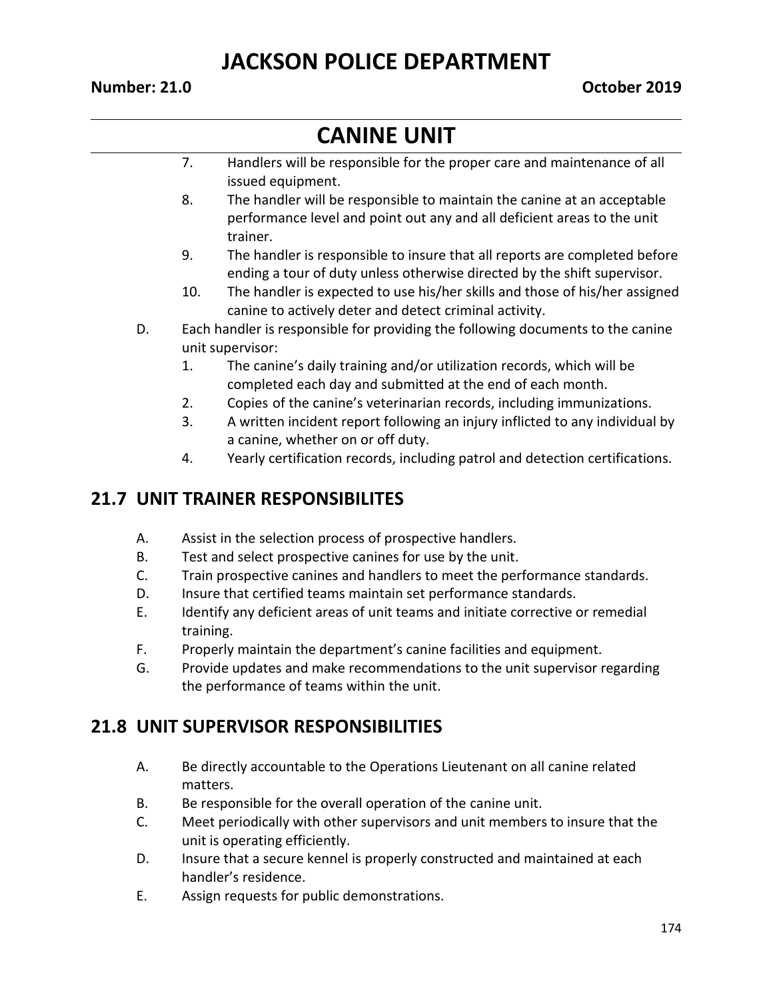#### **Number: 21.0 October 2019**

# **CANINE UNIT**

- 7. Handlers will be responsible for the proper care and maintenance of all issued equipment.
- 8. The handler will be responsible to maintain the canine at an acceptable performance level and point out any and all deficient areas to the unit trainer.
- 9. The handler is responsible to insure that all reports are completed before ending a tour of duty unless otherwise directed by the shift supervisor.
- 10. The handler is expected to use his/her skills and those of his/her assigned canine to actively deter and detect criminal activity.
- D. Each handler is responsible for providing the following documents to the canine unit supervisor:
	- 1. The canine's daily training and/or utilization records, which will be completed each day and submitted at the end of each month.
	- 2. Copies of the canine's veterinarian records, including immunizations.
	- 3. A written incident report following an injury inflicted to any individual by a canine, whether on or off duty.
	- 4. Yearly certification records, including patrol and detection certifications.

### **21.7 UNIT TRAINER RESPONSIBILITES**

- A. Assist in the selection process of prospective handlers.
- B. Test and select prospective canines for use by the unit.
- C. Train prospective canines and handlers to meet the performance standards.
- D. Insure that certified teams maintain set performance standards.
- E. Identify any deficient areas of unit teams and initiate corrective or remedial training.
- F. Properly maintain the department's canine facilities and equipment.
- G. Provide updates and make recommendations to the unit supervisor regarding the performance of teams within the unit.

### **21.8 UNIT SUPERVISOR RESPONSIBILITIES**

- A. Be directly accountable to the Operations Lieutenant on all canine related matters.
- B. Be responsible for the overall operation of the canine unit.
- C. Meet periodically with other supervisors and unit members to insure that the unit is operating efficiently.
- D. Insure that a secure kennel is properly constructed and maintained at each handler's residence.
- E. Assign requests for public demonstrations.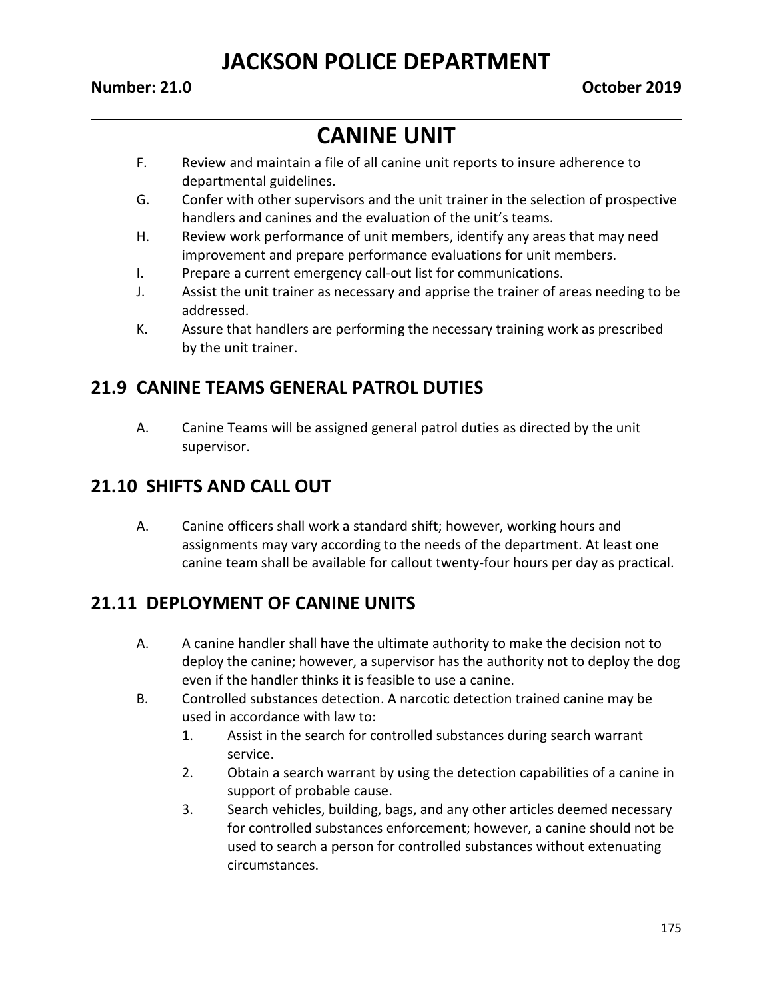#### **Number: 21.0 October 2019**

# **CANINE UNIT**

- F. Review and maintain a file of all canine unit reports to insure adherence to departmental guidelines.
- G. Confer with other supervisors and the unit trainer in the selection of prospective handlers and canines and the evaluation of the unit's teams.
- H. Review work performance of unit members, identify any areas that may need improvement and prepare performance evaluations for unit members.
- I. Prepare a current emergency call-out list for communications.
- J. Assist the unit trainer as necessary and apprise the trainer of areas needing to be addressed.
- K. Assure that handlers are performing the necessary training work as prescribed by the unit trainer.

#### **21.9 CANINE TEAMS GENERAL PATROL DUTIES**

A. Canine Teams will be assigned general patrol duties as directed by the unit supervisor.

#### **21.10 SHIFTS AND CALL OUT**

A. Canine officers shall work a standard shift; however, working hours and assignments may vary according to the needs of the department. At least one canine team shall be available for callout twenty-four hours per day as practical.

#### **21.11 DEPLOYMENT OF CANINE UNITS**

- A. A canine handler shall have the ultimate authority to make the decision not to deploy the canine; however, a supervisor has the authority not to deploy the dog even if the handler thinks it is feasible to use a canine.
- B. Controlled substances detection. A narcotic detection trained canine may be used in accordance with law to:
	- 1. Assist in the search for controlled substances during search warrant service.
	- 2. Obtain a search warrant by using the detection capabilities of a canine in support of probable cause.
	- 3. Search vehicles, building, bags, and any other articles deemed necessary for controlled substances enforcement; however, a canine should not be used to search a person for controlled substances without extenuating circumstances.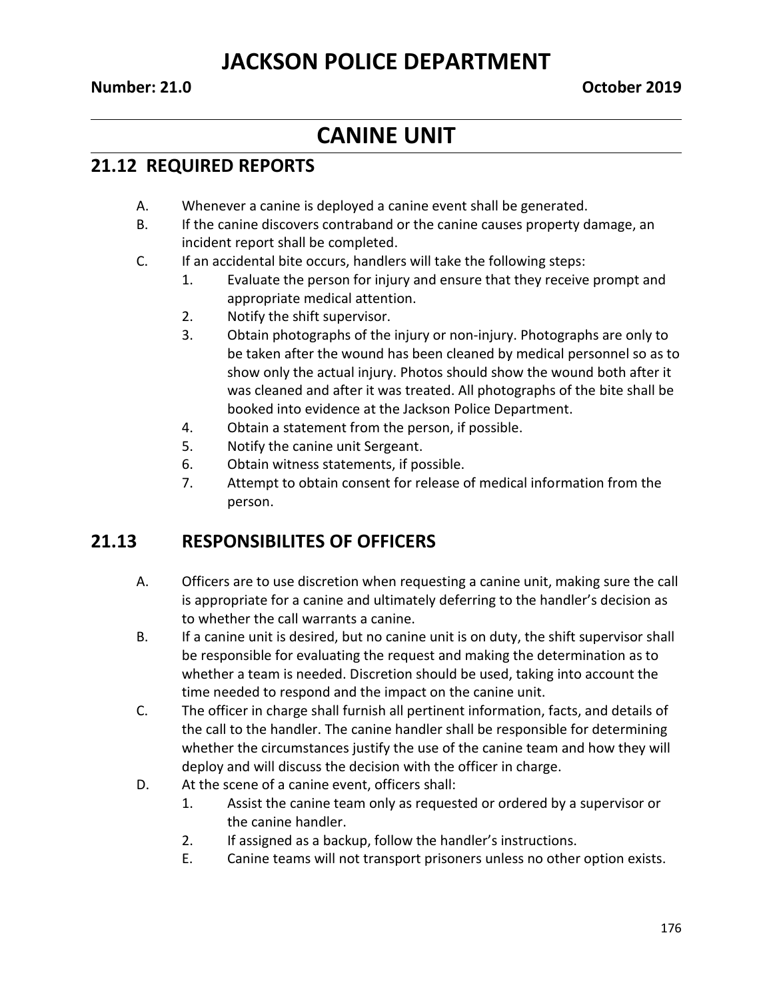### **CANINE UNIT**

#### **21.12 REQUIRED REPORTS**

- A. Whenever a canine is deployed a canine event shall be generated.
- B. If the canine discovers contraband or the canine causes property damage, an incident report shall be completed.
- C. If an accidental bite occurs, handlers will take the following steps:
	- 1. Evaluate the person for injury and ensure that they receive prompt and appropriate medical attention.
	- 2. Notify the shift supervisor.
	- 3. Obtain photographs of the injury or non-injury. Photographs are only to be taken after the wound has been cleaned by medical personnel so as to show only the actual injury. Photos should show the wound both after it was cleaned and after it was treated. All photographs of the bite shall be booked into evidence at the Jackson Police Department.
	- 4. Obtain a statement from the person, if possible.
	- 5. Notify the canine unit Sergeant.
	- 6. Obtain witness statements, if possible.
	- 7. Attempt to obtain consent for release of medical information from the person.

#### **21.13 RESPONSIBILITES OF OFFICERS**

- A. Officers are to use discretion when requesting a canine unit, making sure the call is appropriate for a canine and ultimately deferring to the handler's decision as to whether the call warrants a canine.
- B. If a canine unit is desired, but no canine unit is on duty, the shift supervisor shall be responsible for evaluating the request and making the determination as to whether a team is needed. Discretion should be used, taking into account the time needed to respond and the impact on the canine unit.
- C. The officer in charge shall furnish all pertinent information, facts, and details of the call to the handler. The canine handler shall be responsible for determining whether the circumstances justify the use of the canine team and how they will deploy and will discuss the decision with the officer in charge.
- D. At the scene of a canine event, officers shall:
	- 1. Assist the canine team only as requested or ordered by a supervisor or the canine handler.
	- 2. If assigned as a backup, follow the handler's instructions.
	- E. Canine teams will not transport prisoners unless no other option exists.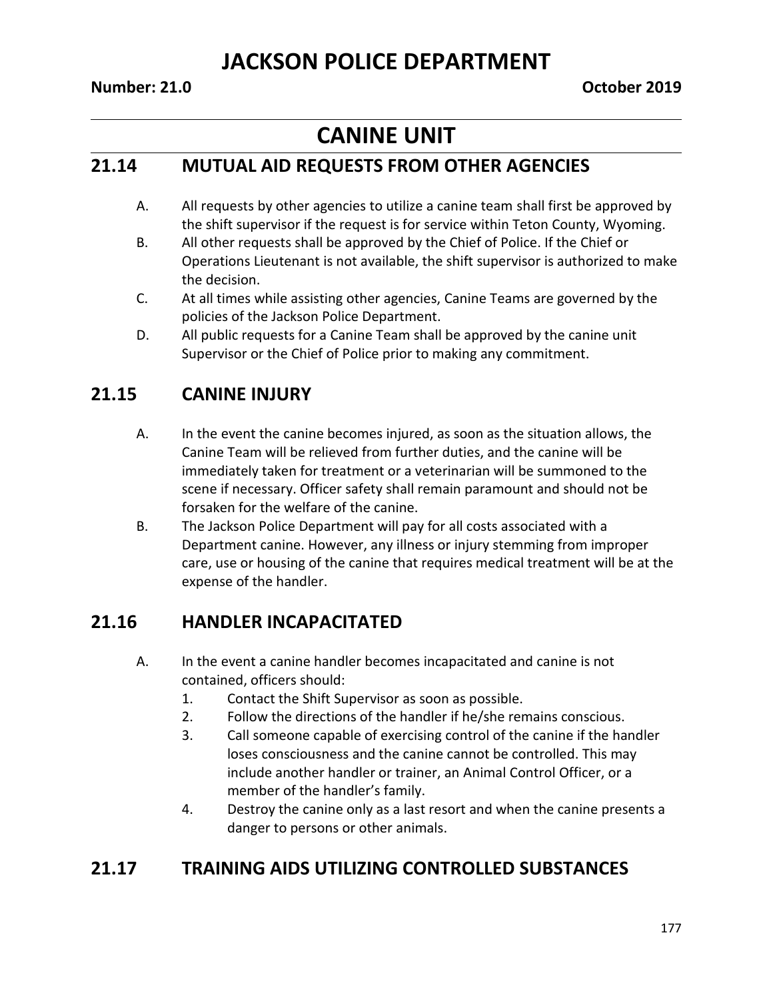# **CANINE UNIT**

#### **21.14 MUTUAL AID REQUESTS FROM OTHER AGENCIES**

- A. All requests by other agencies to utilize a canine team shall first be approved by the shift supervisor if the request is for service within Teton County, Wyoming.
- B. All other requests shall be approved by the Chief of Police. If the Chief or Operations Lieutenant is not available, the shift supervisor is authorized to make the decision.
- C. At all times while assisting other agencies, Canine Teams are governed by the policies of the Jackson Police Department.
- D. All public requests for a Canine Team shall be approved by the canine unit Supervisor or the Chief of Police prior to making any commitment.

### **21.15 CANINE INJURY**

- A. In the event the canine becomes injured, as soon as the situation allows, the Canine Team will be relieved from further duties, and the canine will be immediately taken for treatment or a veterinarian will be summoned to the scene if necessary. Officer safety shall remain paramount and should not be forsaken for the welfare of the canine.
- B. The Jackson Police Department will pay for all costs associated with a Department canine. However, any illness or injury stemming from improper care, use or housing of the canine that requires medical treatment will be at the expense of the handler.

### **21.16 HANDLER INCAPACITATED**

- A. In the event a canine handler becomes incapacitated and canine is not contained, officers should:
	- 1. Contact the Shift Supervisor as soon as possible.
	- 2. Follow the directions of the handler if he/she remains conscious.
	- 3. Call someone capable of exercising control of the canine if the handler loses consciousness and the canine cannot be controlled. This may include another handler or trainer, an Animal Control Officer, or a member of the handler's family.
	- 4. Destroy the canine only as a last resort and when the canine presents a danger to persons or other animals.

### **21.17 TRAINING AIDS UTILIZING CONTROLLED SUBSTANCES**